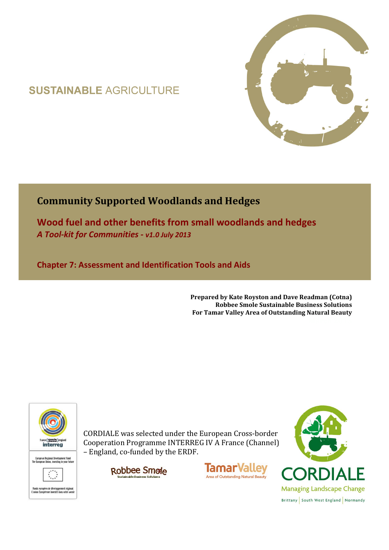# **SUSTAINABLE AGRICULTURE**



# **Community Supported Woodlands and Hedges**

**Wood fuel and other benefits from small woodlands and hedges**  *A Tool-kit for Communities - v1.0 July 2013*

**Chapter 7: Assessment and Identification Tools and Aids** 

**Prepared by Kate Royston and Dave Readman (Cotna) Robbee Smole Sustainable Business Solutions For Tamar Valley Area of Outstanding Natural Beauty**



CORDIALE was selected under the European Cross-border Cooperation Programme INTERREG IV A France (Channel) – England, co-funded by the ERDF.





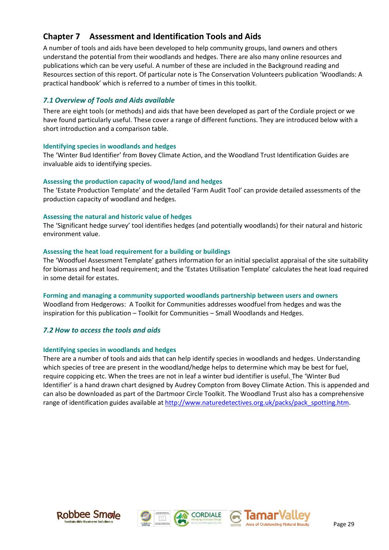# **Chapter 7 Assessment and Identification Tools and Aids**

A number of tools and aids have been developed to help community groups, land owners and others understand the potential from their woodlands and hedges. There are also many online resources and publications which can be very useful. A number of these are included in the Background reading and Resources section of this report. Of particular note is The Conservation Volunteers publication 'Woodlands: A practical handbook' which is referred to a number of times in this toolkit.

# *7.1 Overview of Tools and Aids available*

There are eight tools (or methods) and aids that have been developed as part of the Cordiale project or we have found particularly useful. These cover a range of different functions. They are introduced below with a short introduction and a comparison table.

## **Identifying species in woodlands and hedges**

The 'Winter Bud Identifier' from Bovey Climate Action, and the Woodland Trust Identification Guides are invaluable aids to identifying species.

## **Assessing the production capacity of wood/land and hedges**

The 'Estate Production Template' and the detailed 'Farm Audit Tool' can provide detailed assessments of the production capacity of woodland and hedges.

## **Assessing the natural and historic value of hedges**

The 'Significant hedge survey' tool identifies hedges (and potentially woodlands) for their natural and historic environment value.

## **Assessing the heat load requirement for a building or buildings**

The 'Woodfuel Assessment Template' gathers information for an initial specialist appraisal of the site suitability for biomass and heat load requirement; and the 'Estates Utilisation Template' calculates the heat load required in some detail for estates.

**Forming and managing a community supported woodlands partnership between users and owners**  Woodland from Hedgerows: A Toolkit for Communities addresses woodfuel from hedges and was the inspiration for this publication – Toolkit for Communities – Small Woodlands and Hedges.

# *7.2 How to access the tools and aids*

#### **Identifying species in woodlands and hedges**

There are a number of tools and aids that can help identify species in woodlands and hedges. Understanding which species of tree are present in the woodland/hedge helps to determine which may be best for fuel, require coppicing etc. When the trees are not in leaf a winter bud identifier is useful. The 'Winter Bud Identifier' is a hand drawn chart designed by Audrey Compton from Bovey Climate Action. This is appended and can also be downloaded as part of the Dartmoor Circle Toolkit. The Woodland Trust also has a comprehensive range of identification guides available at http://www.naturedetectives.org.uk/packs/pack\_spotting.htm.





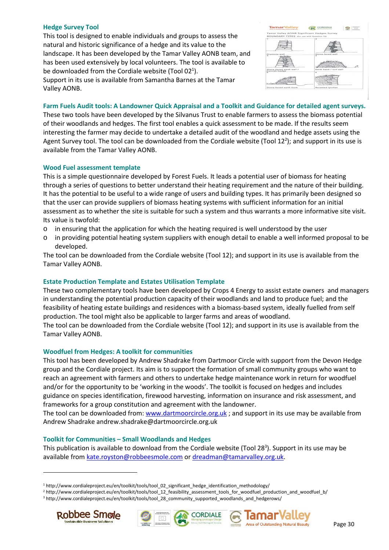#### **Hedge Survey Tool**

This tool is designed to enable individuals and groups to assess the natural and historic significance of a hedge and its value to the landscape. It has been developed by the Tamar Valley AONB team, and has been used extensively by local volunteers. The tool is available to be downloaded from the Cordiale website (Tool 02<sup>1</sup>). Support in its use is available from Samantha Barnes at the Tamar Valley AONB.



**Farm Fuels Audit tools: A Landowner Quick Appraisal and a Toolkit and Guidance for detailed agent surveys.** 

These two tools have been developed by the Silvanus Trust to enable farmers to assess the biomass potential of their woodlands and hedges. The first tool enables a quick assessment to be made. If the results seem interesting the farmer may decide to undertake a detailed audit of the woodland and hedge assets using the Agent Survey tool. The tool can be downloaded from the Cordiale website (Tool 12<sup>2</sup>); and support in its use is available from the Tamar Valley AONB.

#### **Wood Fuel assessment template**

This is a simple questionnaire developed by Forest Fuels. It leads a potential user of biomass for heating through a series of questions to better understand their heating requirement and the nature of their building. It has the potential to be useful to a wide range of users and building types. It has primarily been designed so that the user can provide suppliers of biomass heating systems with sufficient information for an initial assessment as to whether the site is suitable for such a system and thus warrants a more informative site visit. Its value is twofold:

- o in ensuring that the application for which the heating required is well understood by the user
- o in providing potential heating system suppliers with enough detail to enable a well informed proposal to be developed.

The tool can be downloaded from the Cordiale website (Tool 12); and support in its use is available from the Tamar Valley AONB.

#### **Estate Production Template and Estates Utilisation Template**

These two complementary tools have been developed by Crops 4 Energy to assist estate owners and managers in understanding the potential production capacity of their woodlands and land to produce fuel; and the feasibility of heating estate buildings and residences with a biomass-based system, ideally fuelled from self production. The tool might also be applicable to larger farms and areas of woodland.

The tool can be downloaded from the Cordiale website (Tool 12); and support in its use is available from the Tamar Valley AONB.

#### **Woodfuel from Hedges: A toolkit for communities**

This tool has been developed by Andrew Shadrake from Dartmoor Circle with support from the Devon Hedge group and the Cordiale project. Its aim is to support the formation of small community groups who want to reach an agreement with farmers and others to undertake hedge maintenance work in return for woodfuel and/or for the opportunity to be 'working in the woods'. The toolkit is focused on hedges and includes guidance on species identification, firewood harvesting, information on insurance and risk assessment, and frameworks for a group constitution and agreement with the landowner.

The tool can be downloaded from: www.dartmoorcircle.org.uk ; and support in its use may be available from Andrew Shadrake andrew.shadrake@dartmoorcircle.org.uk

#### **Toolkit for Communities – Small Woodlands and Hedges**

This publication is available to download from the Cordiale website (Tool 28<sup>3</sup>). Support in its use may be available from kate.royston@robbeesmole.com or dreadman@tamarvalley.org.uk.

<sup>3</sup> http://www.cordialeproject.eu/en/toolkit/tools/tool\_28\_community\_supported\_woodlands\_and\_hedgerows/



 $\overline{a}$ 





<sup>1</sup> http://www.cordialeproject.eu/en/toolkit/tools/tool\_02\_significant\_hedge\_identification\_methodology/

<sup>2</sup> http://www.cordialeproject.eu/en/toolkit/tools/tool\_12\_feasibility\_assessment\_tools\_for\_woodfuel\_production\_and\_woodfuel\_b/